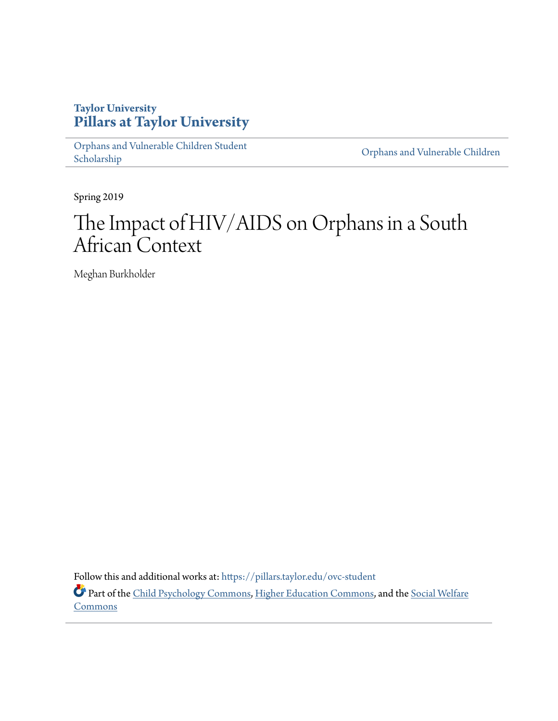## **Taylor University [Pillars at Taylor University](https://pillars.taylor.edu/?utm_source=pillars.taylor.edu%2Fovc-student%2F5&utm_medium=PDF&utm_campaign=PDFCoverPages)**

[Orphans and Vulnerable Children Student](https://pillars.taylor.edu/ovc-student?utm_source=pillars.taylor.edu%2Fovc-student%2F5&utm_medium=PDF&utm_campaign=PDFCoverPages) [Scholarship](https://pillars.taylor.edu/ovc-student?utm_source=pillars.taylor.edu%2Fovc-student%2F5&utm_medium=PDF&utm_campaign=PDFCoverPages) Children Scholarship Children Scholarship Children Scholarship Children Scholarship

Spring 2019

# The Impact of HIV/AIDS on Orphans in a South African Context

Meghan Burkholder

Follow this and additional works at: [https://pillars.taylor.edu/ovc-student](https://pillars.taylor.edu/ovc-student?utm_source=pillars.taylor.edu%2Fovc-student%2F5&utm_medium=PDF&utm_campaign=PDFCoverPages) Part of the [Child Psychology Commons](http://network.bepress.com/hgg/discipline/1023?utm_source=pillars.taylor.edu%2Fovc-student%2F5&utm_medium=PDF&utm_campaign=PDFCoverPages), [Higher Education Commons](http://network.bepress.com/hgg/discipline/1245?utm_source=pillars.taylor.edu%2Fovc-student%2F5&utm_medium=PDF&utm_campaign=PDFCoverPages), and the [Social Welfare](http://network.bepress.com/hgg/discipline/401?utm_source=pillars.taylor.edu%2Fovc-student%2F5&utm_medium=PDF&utm_campaign=PDFCoverPages)

[Commons](http://network.bepress.com/hgg/discipline/401?utm_source=pillars.taylor.edu%2Fovc-student%2F5&utm_medium=PDF&utm_campaign=PDFCoverPages)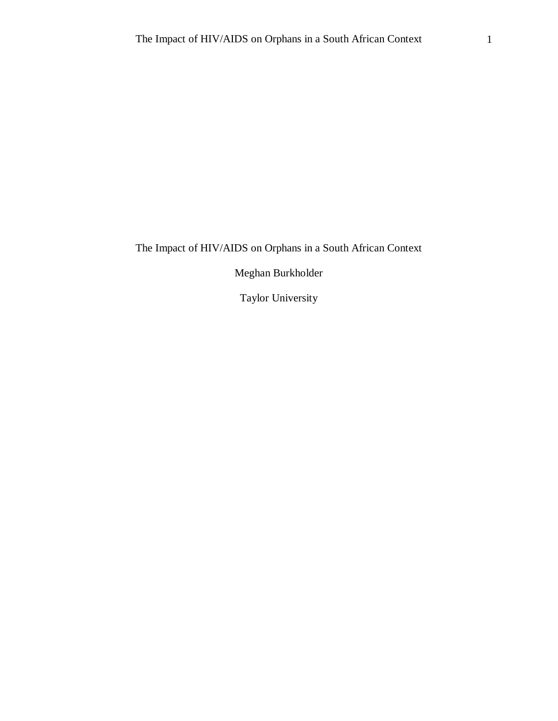The Impact of HIV/AIDS on Orphans in a South African Context

Meghan Burkholder

Taylor University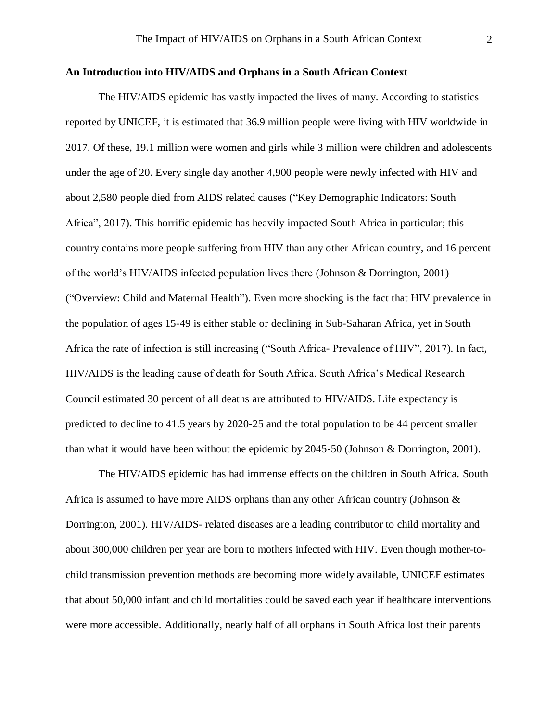#### **An Introduction into HIV/AIDS and Orphans in a South African Context**

The HIV/AIDS epidemic has vastly impacted the lives of many. According to statistics reported by UNICEF, it is estimated that 36.9 million people were living with HIV worldwide in 2017. Of these, 19.1 million were women and girls while 3 million were children and adolescents under the age of 20. Every single day another 4,900 people were newly infected with HIV and about 2,580 people died from AIDS related causes ("Key Demographic Indicators: South Africa", 2017). This horrific epidemic has heavily impacted South Africa in particular; this country contains more people suffering from HIV than any other African country, and 16 percent of the world's HIV/AIDS infected population lives there (Johnson & Dorrington, 2001) ("Overview: Child and Maternal Health"). Even more shocking is the fact that HIV prevalence in the population of ages 15-49 is either stable or declining in Sub-Saharan Africa, yet in South Africa the rate of infection is still increasing ("South Africa- Prevalence of HIV", 2017). In fact, HIV/AIDS is the leading cause of death for South Africa. South Africa's Medical Research Council estimated 30 percent of all deaths are attributed to HIV/AIDS. Life expectancy is predicted to decline to 41.5 years by 2020-25 and the total population to be 44 percent smaller than what it would have been without the epidemic by 2045-50 (Johnson & Dorrington, 2001).

The HIV/AIDS epidemic has had immense effects on the children in South Africa. South Africa is assumed to have more AIDS orphans than any other African country (Johnson & Dorrington, 2001). HIV/AIDS- related diseases are a leading contributor to child mortality and about 300,000 children per year are born to mothers infected with HIV. Even though mother-tochild transmission prevention methods are becoming more widely available, UNICEF estimates that about 50,000 infant and child mortalities could be saved each year if healthcare interventions were more accessible. Additionally, nearly half of all orphans in South Africa lost their parents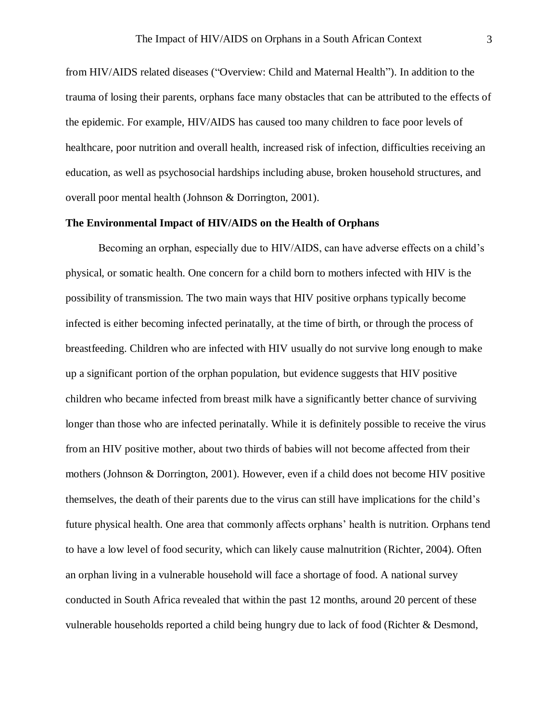from HIV/AIDS related diseases ("Overview: Child and Maternal Health"). In addition to the trauma of losing their parents, orphans face many obstacles that can be attributed to the effects of the epidemic. For example, HIV/AIDS has caused too many children to face poor levels of healthcare, poor nutrition and overall health, increased risk of infection, difficulties receiving an education, as well as psychosocial hardships including abuse, broken household structures, and overall poor mental health (Johnson & Dorrington, 2001).

#### **The Environmental Impact of HIV/AIDS on the Health of Orphans**

Becoming an orphan, especially due to HIV/AIDS, can have adverse effects on a child's physical, or somatic health. One concern for a child born to mothers infected with HIV is the possibility of transmission. The two main ways that HIV positive orphans typically become infected is either becoming infected perinatally, at the time of birth, or through the process of breastfeeding. Children who are infected with HIV usually do not survive long enough to make up a significant portion of the orphan population, but evidence suggests that HIV positive children who became infected from breast milk have a significantly better chance of surviving longer than those who are infected perinatally. While it is definitely possible to receive the virus from an HIV positive mother, about two thirds of babies will not become affected from their mothers (Johnson & Dorrington, 2001). However, even if a child does not become HIV positive themselves, the death of their parents due to the virus can still have implications for the child's future physical health. One area that commonly affects orphans' health is nutrition. Orphans tend to have a low level of food security, which can likely cause malnutrition (Richter, 2004). Often an orphan living in a vulnerable household will face a shortage of food. A national survey conducted in South Africa revealed that within the past 12 months, around 20 percent of these vulnerable households reported a child being hungry due to lack of food (Richter & Desmond,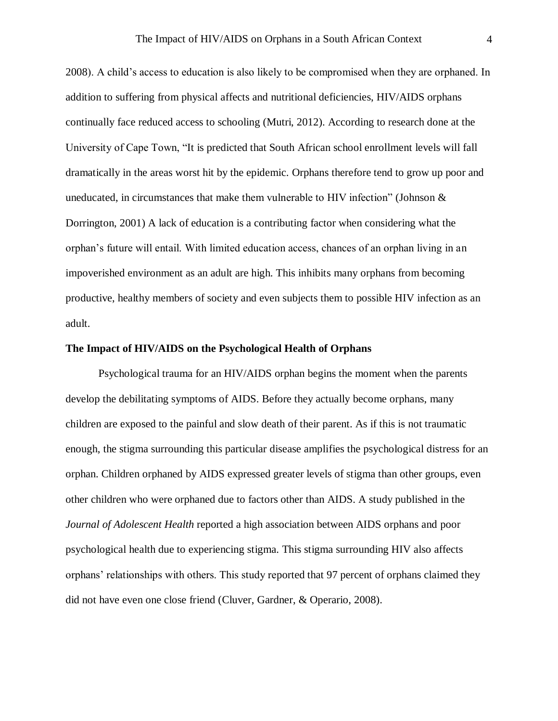2008). A child's access to education is also likely to be compromised when they are orphaned. In addition to suffering from physical affects and nutritional deficiencies, HIV/AIDS orphans continually face reduced access to schooling (Mutri, 2012). According to research done at the University of Cape Town, "It is predicted that South African school enrollment levels will fall dramatically in the areas worst hit by the epidemic. Orphans therefore tend to grow up poor and uneducated, in circumstances that make them vulnerable to HIV infection" (Johnson  $\&$ Dorrington, 2001) A lack of education is a contributing factor when considering what the orphan's future will entail. With limited education access, chances of an orphan living in an impoverished environment as an adult are high. This inhibits many orphans from becoming productive, healthy members of society and even subjects them to possible HIV infection as an adult.

#### **The Impact of HIV/AIDS on the Psychological Health of Orphans**

Psychological trauma for an HIV/AIDS orphan begins the moment when the parents develop the debilitating symptoms of AIDS. Before they actually become orphans, many children are exposed to the painful and slow death of their parent. As if this is not traumatic enough, the stigma surrounding this particular disease amplifies the psychological distress for an orphan. Children orphaned by AIDS expressed greater levels of stigma than other groups, even other children who were orphaned due to factors other than AIDS. A study published in the *Journal of Adolescent Health* reported a high association between AIDS orphans and poor psychological health due to experiencing stigma. This stigma surrounding HIV also affects orphans' relationships with others. This study reported that 97 percent of orphans claimed they did not have even one close friend (Cluver, Gardner, & Operario, 2008).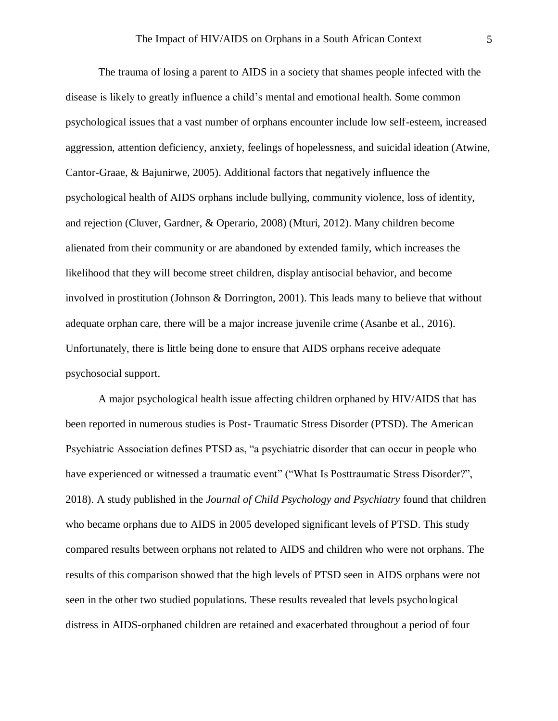The trauma of losing a parent to AIDS in a society that shames people infected with the disease is likely to greatly influence a child's mental and emotional health. Some common psychological issues that a vast number of orphans encounter include low self-esteem, increased aggression, attention deficiency, anxiety, feelings of hopelessness, and suicidal ideation (Atwine, Cantor-Graae, & Bajunirwe, 2005). Additional factors that negatively influence the psychological health of AIDS orphans include bullying, community violence, loss of identity, and rejection (Cluver, Gardner, & Operario, 2008) (Mturi, 2012). Many children become alienated from their community or are abandoned by extended family, which increases the likelihood that they will become street children, display antisocial behavior, and become involved in prostitution (Johnson & Dorrington, 2001). This leads many to believe that without adequate orphan care, there will be a major increase juvenile crime (Asanbe et al., 2016). Unfortunately, there is little being done to ensure that AIDS orphans receive adequate psychosocial support.

A major psychological health issue affecting children orphaned by HIV/AIDS that has been reported in numerous studies is Post- Traumatic Stress Disorder (PTSD). The American Psychiatric Association defines PTSD as, "a psychiatric disorder that can occur in people who have experienced or witnessed a traumatic event" ("What Is Posttraumatic Stress Disorder?", 2018). A study published in the *Journal of Child Psychology and Psychiatry* found that children who became orphans due to AIDS in 2005 developed significant levels of PTSD. This study compared results between orphans not related to AIDS and children who were not orphans. The results of this comparison showed that the high levels of PTSD seen in AIDS orphans were not seen in the other two studied populations. These results revealed that levels psychological distress in AIDS-orphaned children are retained and exacerbated throughout a period of four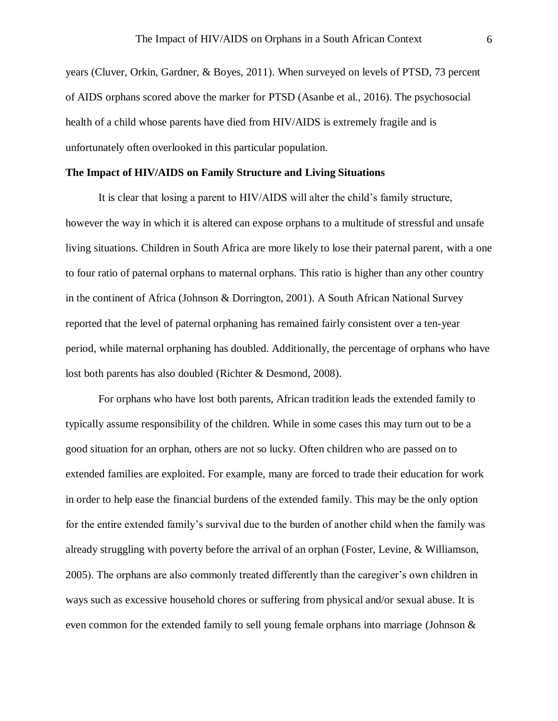years (Cluver, Orkin, Gardner, & Boyes, 2011). When surveyed on levels of PTSD, 73 percent of AIDS orphans scored above the marker for PTSD (Asanbe et al., 2016). The psychosocial health of a child whose parents have died from HIV/AIDS is extremely fragile and is unfortunately often overlooked in this particular population.

#### **The Impact of HIV/AIDS on Family Structure and Living Situations**

It is clear that losing a parent to HIV/AIDS will alter the child's family structure, however the way in which it is altered can expose orphans to a multitude of stressful and unsafe living situations. Children in South Africa are more likely to lose their paternal parent, with a one to four ratio of paternal orphans to maternal orphans. This ratio is higher than any other country in the continent of Africa (Johnson & Dorrington, 2001). A South African National Survey reported that the level of paternal orphaning has remained fairly consistent over a ten-year period, while maternal orphaning has doubled. Additionally, the percentage of orphans who have lost both parents has also doubled (Richter & Desmond, 2008).

For orphans who have lost both parents, African tradition leads the extended family to typically assume responsibility of the children. While in some cases this may turn out to be a good situation for an orphan, others are not so lucky. Often children who are passed on to extended families are exploited. For example, many are forced to trade their education for work in order to help ease the financial burdens of the extended family. This may be the only option for the entire extended family's survival due to the burden of another child when the family was already struggling with poverty before the arrival of an orphan (Foster, Levine, & Williamson, 2005). The orphans are also commonly treated differently than the caregiver's own children in ways such as excessive household chores or suffering from physical and/or sexual abuse. It is even common for the extended family to sell young female orphans into marriage (Johnson &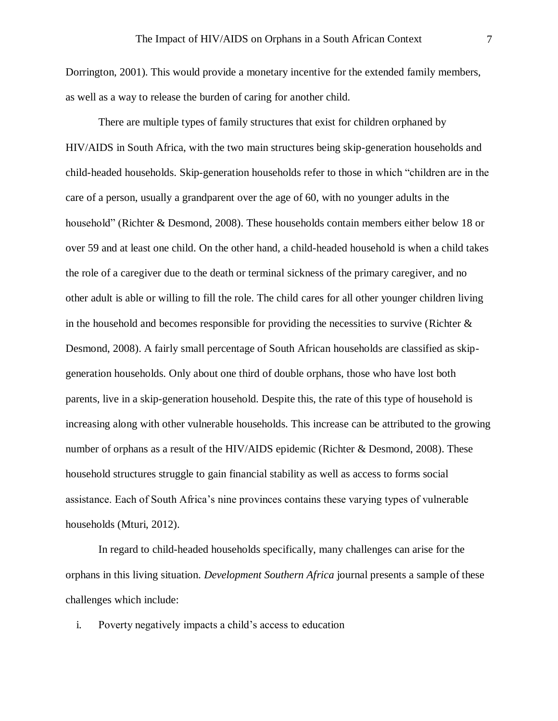Dorrington, 2001). This would provide a monetary incentive for the extended family members, as well as a way to release the burden of caring for another child.

There are multiple types of family structures that exist for children orphaned by HIV/AIDS in South Africa, with the two main structures being skip-generation households and child-headed households. Skip-generation households refer to those in which "children are in the care of a person, usually a grandparent over the age of 60, with no younger adults in the household" (Richter & Desmond, 2008). These households contain members either below 18 or over 59 and at least one child. On the other hand, a child-headed household is when a child takes the role of a caregiver due to the death or terminal sickness of the primary caregiver, and no other adult is able or willing to fill the role. The child cares for all other younger children living in the household and becomes responsible for providing the necessities to survive (Richter  $\&$ Desmond, 2008). A fairly small percentage of South African households are classified as skipgeneration households. Only about one third of double orphans, those who have lost both parents, live in a skip-generation household. Despite this, the rate of this type of household is increasing along with other vulnerable households. This increase can be attributed to the growing number of orphans as a result of the HIV/AIDS epidemic (Richter & Desmond, 2008). These household structures struggle to gain financial stability as well as access to forms social assistance. Each of South Africa's nine provinces contains these varying types of vulnerable households (Mturi, 2012).

In regard to child-headed households specifically, many challenges can arise for the orphans in this living situation. *Development Southern Africa* journal presents a sample of these challenges which include:

i. Poverty negatively impacts a child's access to education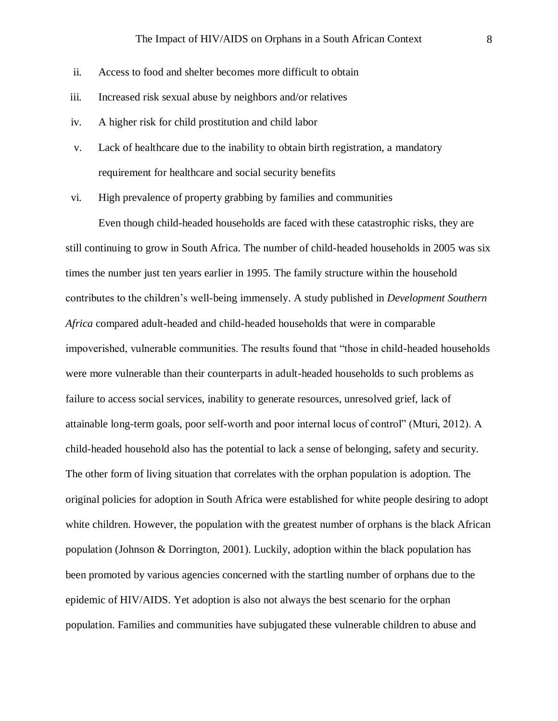- ii. Access to food and shelter becomes more difficult to obtain
- iii. Increased risk sexual abuse by neighbors and/or relatives
- iv. A higher risk for child prostitution and child labor
- v. Lack of healthcare due to the inability to obtain birth registration, a mandatory requirement for healthcare and social security benefits

vi. High prevalence of property grabbing by families and communities

Even though child-headed households are faced with these catastrophic risks, they are still continuing to grow in South Africa. The number of child-headed households in 2005 was six times the number just ten years earlier in 1995. The family structure within the household contributes to the children's well-being immensely. A study published in *Development Southern Africa* compared adult-headed and child-headed households that were in comparable impoverished, vulnerable communities. The results found that "those in child-headed households were more vulnerable than their counterparts in adult-headed households to such problems as failure to access social services, inability to generate resources, unresolved grief, lack of attainable long-term goals, poor self-worth and poor internal locus of control" (Mturi, 2012). A child-headed household also has the potential to lack a sense of belonging, safety and security. The other form of living situation that correlates with the orphan population is adoption. The original policies for adoption in South Africa were established for white people desiring to adopt white children. However, the population with the greatest number of orphans is the black African population (Johnson & Dorrington, 2001). Luckily, adoption within the black population has been promoted by various agencies concerned with the startling number of orphans due to the epidemic of HIV/AIDS. Yet adoption is also not always the best scenario for the orphan population. Families and communities have subjugated these vulnerable children to abuse and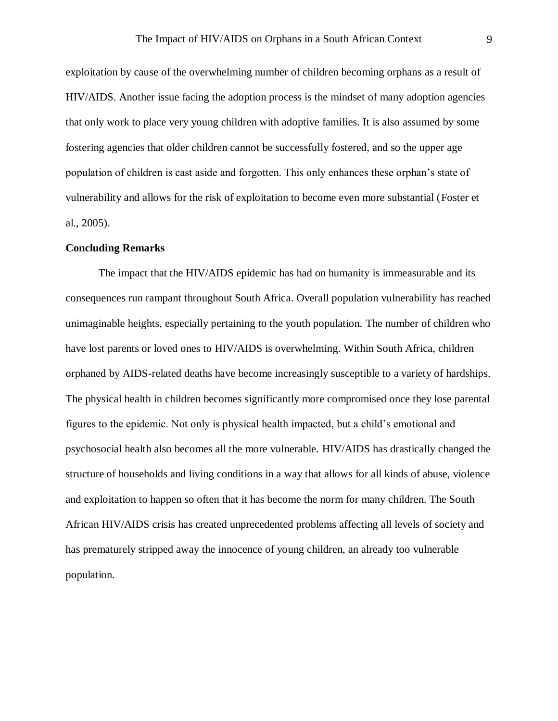exploitation by cause of the overwhelming number of children becoming orphans as a result of HIV/AIDS. Another issue facing the adoption process is the mindset of many adoption agencies that only work to place very young children with adoptive families. It is also assumed by some fostering agencies that older children cannot be successfully fostered, and so the upper age population of children is cast aside and forgotten. This only enhances these orphan's state of vulnerability and allows for the risk of exploitation to become even more substantial (Foster et al., 2005).

#### **Concluding Remarks**

The impact that the HIV/AIDS epidemic has had on humanity is immeasurable and its consequences run rampant throughout South Africa. Overall population vulnerability has reached unimaginable heights, especially pertaining to the youth population. The number of children who have lost parents or loved ones to HIV/AIDS is overwhelming. Within South Africa, children orphaned by AIDS-related deaths have become increasingly susceptible to a variety of hardships. The physical health in children becomes significantly more compromised once they lose parental figures to the epidemic. Not only is physical health impacted, but a child's emotional and psychosocial health also becomes all the more vulnerable. HIV/AIDS has drastically changed the structure of households and living conditions in a way that allows for all kinds of abuse, violence and exploitation to happen so often that it has become the norm for many children. The South African HIV/AIDS crisis has created unprecedented problems affecting all levels of society and has prematurely stripped away the innocence of young children, an already too vulnerable population.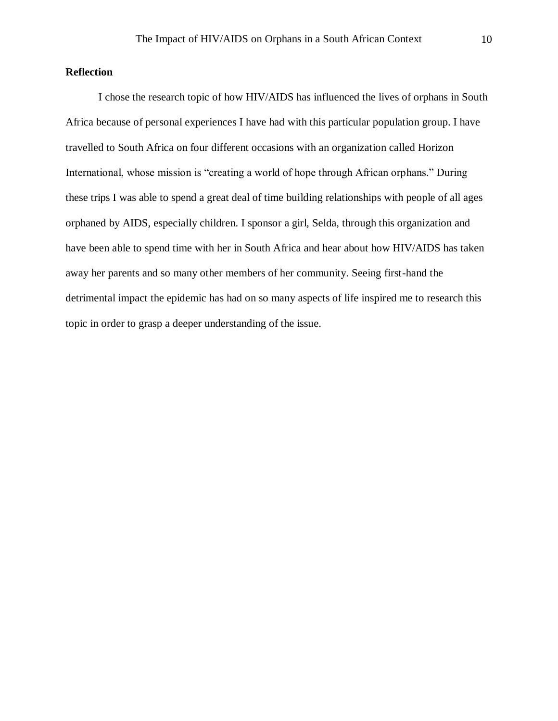### **Reflection**

I chose the research topic of how HIV/AIDS has influenced the lives of orphans in South Africa because of personal experiences I have had with this particular population group. I have travelled to South Africa on four different occasions with an organization called Horizon International, whose mission is "creating a world of hope through African orphans." During these trips I was able to spend a great deal of time building relationships with people of all ages orphaned by AIDS, especially children. I sponsor a girl, Selda, through this organization and have been able to spend time with her in South Africa and hear about how HIV/AIDS has taken away her parents and so many other members of her community. Seeing first-hand the detrimental impact the epidemic has had on so many aspects of life inspired me to research this topic in order to grasp a deeper understanding of the issue.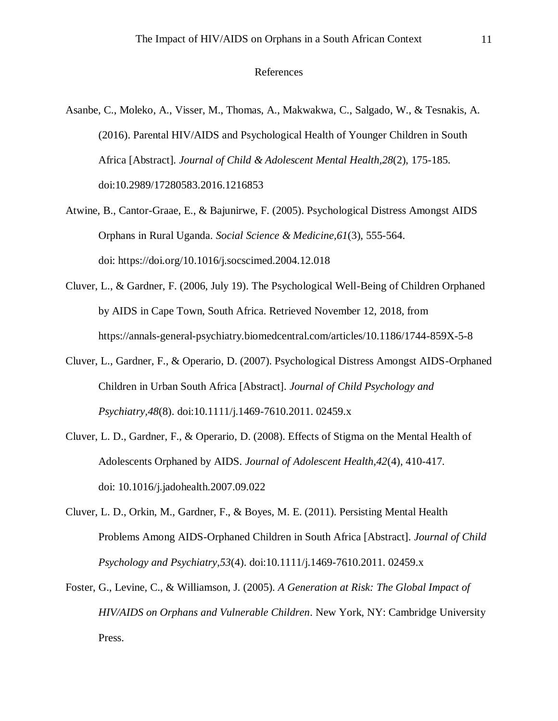#### References

- Asanbe, C., Moleko, A., Visser, M., Thomas, A., Makwakwa, C., Salgado, W., & Tesnakis, A. (2016). Parental HIV/AIDS and Psychological Health of Younger Children in South Africa [Abstract]. *Journal of Child & Adolescent Mental Health,28*(2), 175-185. doi:10.2989/17280583.2016.1216853
- Atwine, B., Cantor-Graae, E., & Bajunirwe, F. (2005). Psychological Distress Amongst AIDS Orphans in Rural Uganda. *Social Science & Medicine,61*(3), 555-564. doi: https://doi.org/10.1016/j.socscimed.2004.12.018
- Cluver, L., & Gardner, F. (2006, July 19). The Psychological Well-Being of Children Orphaned by AIDS in Cape Town, South Africa. Retrieved November 12, 2018, from https://annals-general-psychiatry.biomedcentral.com/articles/10.1186/1744-859X-5-8
- Cluver, L., Gardner, F., & Operario, D. (2007). Psychological Distress Amongst AIDS-Orphaned Children in Urban South Africa [Abstract]. *Journal of Child Psychology and Psychiatry,48*(8). doi:10.1111/j.1469-7610.2011. 02459.x
- Cluver, L. D., Gardner, F., & Operario, D. (2008). Effects of Stigma on the Mental Health of Adolescents Orphaned by AIDS. *Journal of Adolescent Health,42*(4), 410-417. doi: 10.1016/j.jadohealth.2007.09.022
- Cluver, L. D., Orkin, M., Gardner, F., & Boyes, M. E. (2011). Persisting Mental Health Problems Among AIDS-Orphaned Children in South Africa [Abstract]. *Journal of Child Psychology and Psychiatry,53*(4). doi:10.1111/j.1469-7610.2011. 02459.x
- Foster, G., Levine, C., & Williamson, J. (2005). *A Generation at Risk: The Global Impact of HIV/AIDS on Orphans and Vulnerable Children*. New York, NY: Cambridge University Press.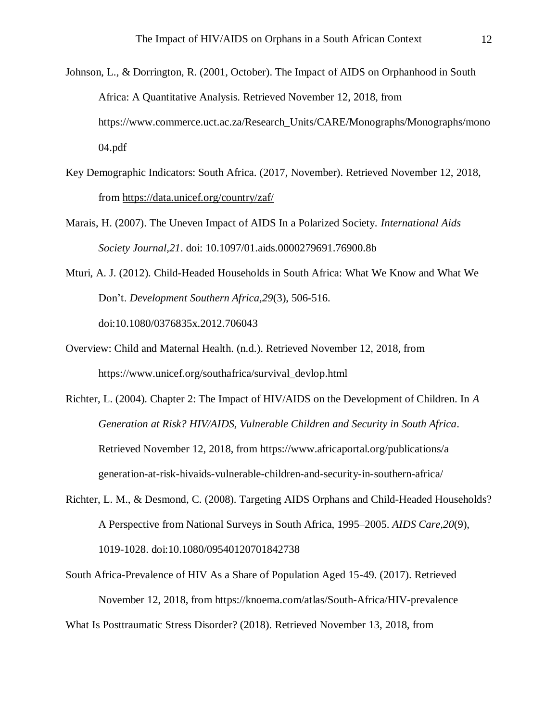- Johnson, L., & Dorrington, R. (2001, October). The Impact of AIDS on Orphanhood in South Africa: A Quantitative Analysis. Retrieved November 12, 2018, from https://www.commerce.uct.ac.za/Research\_Units/CARE/Monographs/Monographs/mono 04.pdf
- Key Demographic Indicators: South Africa. (2017, November). Retrieved November 12, 2018, from<https://data.unicef.org/country/zaf/>
- Marais, H. (2007). The Uneven Impact of AIDS In a Polarized Society. *International Aids Society Journal,21*. doi: 10.1097/01.aids.0000279691.76900.8b
- Mturi, A. J. (2012). Child-Headed Households in South Africa: What We Know and What We Don't. *Development Southern Africa,29*(3), 506-516. doi:10.1080/0376835x.2012.706043
- Overview: Child and Maternal Health. (n.d.). Retrieved November 12, 2018, from https://www.unicef.org/southafrica/survival\_devlop.html
- Richter, L. (2004). Chapter 2: The Impact of HIV/AIDS on the Development of Children. In *A Generation at Risk? HIV/AIDS, Vulnerable Children and Security in South Africa*. Retrieved November 12, 2018, from https://www.africaportal.org/publications/a generation-at-risk-hivaids-vulnerable-children-and-security-in-southern-africa/
- Richter, L. M., & Desmond, C. (2008). Targeting AIDS Orphans and Child-Headed Households? A Perspective from National Surveys in South Africa, 1995–2005. *AIDS Care,20*(9), 1019-1028. doi:10.1080/09540120701842738
- South Africa-Prevalence of HIV As a Share of Population Aged 15-49. (2017). Retrieved November 12, 2018, from https://knoema.com/atlas/South-Africa/HIV-prevalence

What Is Posttraumatic Stress Disorder? (2018). Retrieved November 13, 2018, from